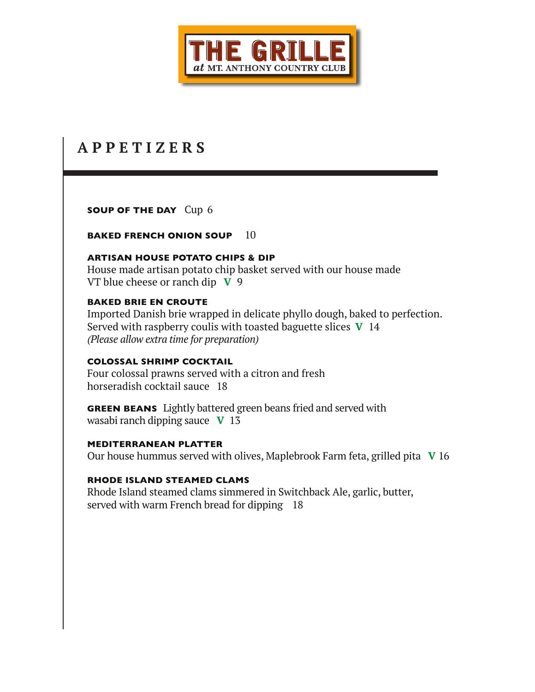

# **A P P E T I Z E R S**

**SOUP OF THE DAY** Cup 6

**BAKED FRENCH ONION SOUP** 10

#### **ARTISAN HOUSE POTATO CHIPS & DIP**

House made artisan potato chip basket served with our house made VT blue cheese or ranch dip **V** 9

#### **BAKED BRIE EN CROUTE**

Imported Danish brie wrapped in delicate phyllo dough, baked to perfection. Served with raspberry coulis with toasted baguette slices **V** 14 *(Please allow extra time for preparation)*

## **COLOSSAL SHRIMP COCKTAIL**

Four colossal prawns served with a citron and fresh horseradish cocktail sauce 18

**GREEN BEANS** Lightly battered green beans fried and served with wasabi ranch dipping sauce **V** 13

#### **MEDITERRANEAN PLATTER**

Our house hummus served with olives, Maplebrook Farm feta, grilled pita **V** 16

#### **RHODE ISLAND STEAMED CLAMS**

Rhode Island steamed clams simmered in Switchback Ale, garlic, butter, served with warm French bread for dipping 18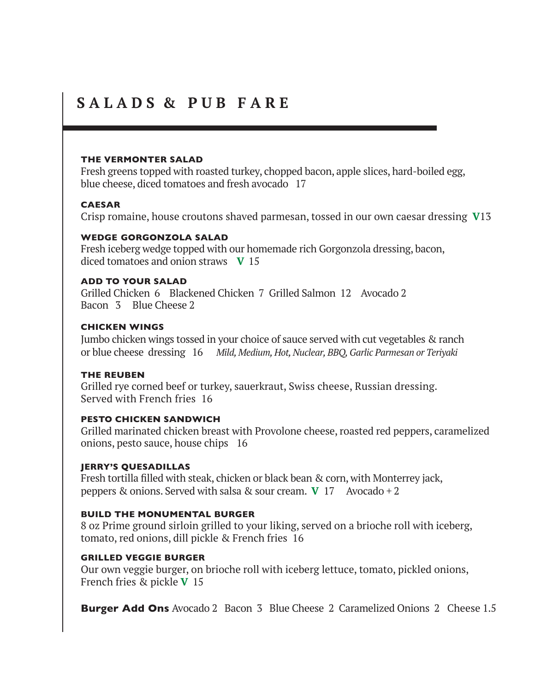## **S A L A D S & P U B F A R E**

#### **THE VERMONTER SALAD**

Fresh greens topped with roasted turkey, chopped bacon, apple slices, hard-boiled egg, blue cheese, diced tomatoes and fresh avocado 17

#### **CAESAR**

Crisp romaine, house croutons shaved parmesan, tossed in our own caesar dressing **V**13

#### **WEDGE GORGONZOLA SALAD**

Fresh iceberg wedge topped with our homemade rich Gorgonzola dressing, bacon, diced tomatoes and onion straws **V** 15

#### **ADD TO YOUR SALAD**

Grilled Chicken 6 Blackened Chicken 7 Grilled Salmon 12 Avocado 2 Bacon 3 Blue Cheese 2

#### **CHICKEN WINGS**

Jumbo chicken wings tossed in your choice of sauce served with cut vegetables & ranch or blue cheese dressing 16 *Mild, Medium, Hot, Nuclear, BBQ, Garlic Parmesan or Teriyaki*

#### **THE REUBEN**

Grilled rye corned beef or turkey, sauerkraut, Swiss cheese, Russian dressing. Served with French fries 16

#### **PESTO CHICKEN SANDWICH**

Grilled marinated chicken breast with Provolone cheese, roasted red peppers, caramelized onions, pesto sauce, house chips16

#### **JERRY'S QUESADILLAS**

Fresh tortilla filled with steak, chicken or black bean & corn, with Monterrey jack, peppers & onions. Served with salsa & sour cream. **V** 17 Avocado + 2

#### **BUILD THE MONUMENTAL BURGER**

8 oz Prime ground sirloin grilled to your liking, served on a brioche roll with iceberg, tomato, red onions, dill pickle & French fries 16

#### **GRILLED VEGGIE BURGER**

Our own veggie burger, on brioche roll with iceberg lettuce, tomato, pickled onions, French fries & pickle **V** 15

**Burger Add Ons** Avocado 2 Bacon 3 Blue Cheese 2 Caramelized Onions 2 Cheese 1.5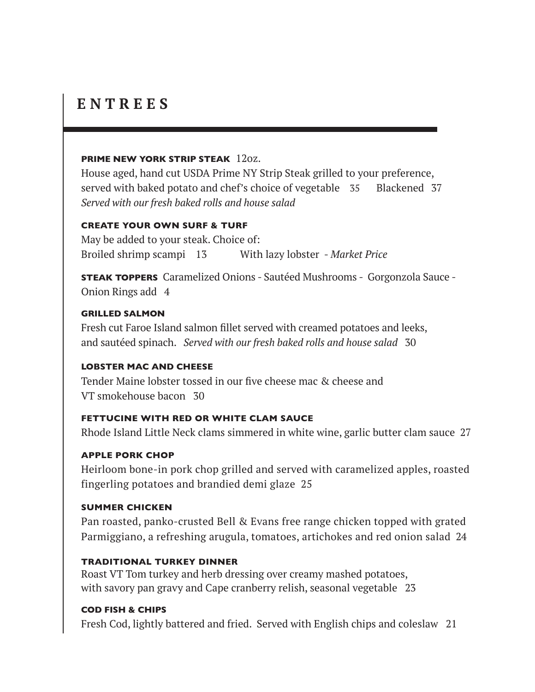# **E N T R E E S**

#### **PRIME NEW YORK STRIP STEAK** 12oz.

House aged, hand cut USDA Prime NY Strip Steak grilled to your preference, served with baked potato and chef's choice of vegetable 35 Blackened 37 *Served with our fresh baked rolls and house salad*

## **CREATE YOUR OWN SURF & TURF**

May be added to your steak. Choice of: Broiled shrimp scampi 13 With lazy lobster - *Market Price*

**STEAK TOPPERS** Caramelized Onions - Sautéed Mushrooms - Gorgonzola Sauce - Onion Rings add 4

## **GRILLED SALMON**

Fresh cut Faroe Island salmon fillet served with creamed potatoes and leeks, and sautéed spinach. *Served with our fresh baked rolls and house salad* 30

## **LOBSTER MAC AND CHEESE**

Tender Maine lobster tossed in our five cheese mac & cheese and VT smokehouse bacon 30

## **FETTUCINE WITH RED OR WHITE CLAM SAUCE**

Rhode Island Little Neck clams simmered in white wine, garlic butter clam sauce 27

## **APPLE PORK CHOP**

Heirloom bone-in pork chop grilled and served with caramelized apples, roasted fingerling potatoes and brandied demi glaze 25

## **SUMMER CHICKEN**

Pan roasted, panko-crusted Bell & Evans free range chicken topped with grated Parmiggiano, a refreshing arugula, tomatoes, artichokes and red onion salad 24

## **TRADITIONAL TURKEY DINNER**

Roast VT Tom turkey and herb dressing over creamy mashed potatoes, with savory pan gravy and Cape cranberry relish, seasonal vegetable 23

## **COD FISH & CHIPS**

Fresh Cod, lightly battered and fried. Served with English chips and coleslaw 21